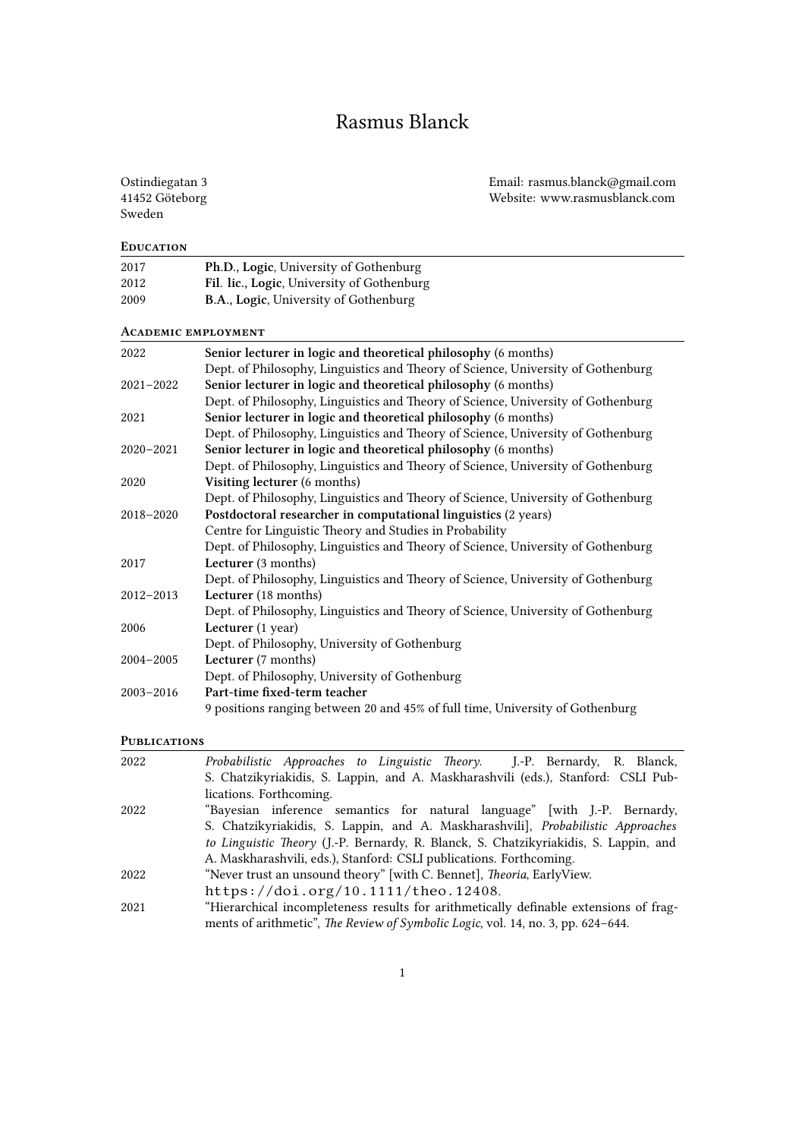# Rasmus Blanck

# Sweden

2017 **Ph.D., Logic**, University of Gothenburg

**Education**

Ostindiegatan 3 Email: rasmus.blanck@gmail.com 41452 Göteborg Website: www.rasmusblanck.com

| 2012                       | Fil. lic., Logic, University of Gothenburg                                       |
|----------------------------|----------------------------------------------------------------------------------|
| 2009                       | B.A., Logic, University of Gothenburg                                            |
|                            |                                                                                  |
| <b>ACADEMIC EMPLOYMENT</b> |                                                                                  |
| 2022                       | Senior lecturer in logic and theoretical philosophy (6 months)                   |
|                            | Dept. of Philosophy, Linguistics and Theory of Science, University of Gothenburg |
| $2021 - 2022$              | Senior lecturer in logic and theoretical philosophy (6 months)                   |
|                            | Dept. of Philosophy, Linguistics and Theory of Science, University of Gothenburg |
| 2021                       | Senior lecturer in logic and theoretical philosophy (6 months)                   |
|                            | Dept. of Philosophy, Linguistics and Theory of Science, University of Gothenburg |
| $2020 - 2021$              | Senior lecturer in logic and theoretical philosophy (6 months)                   |
|                            | Dept. of Philosophy, Linguistics and Theory of Science, University of Gothenburg |
| 2020                       | Visiting lecturer (6 months)                                                     |
|                            | Dept. of Philosophy, Linguistics and Theory of Science, University of Gothenburg |
| 2018-2020                  | Postdoctoral researcher in computational linguistics (2 years)                   |
|                            | Centre for Linguistic Theory and Studies in Probability                          |
|                            | Dept. of Philosophy, Linguistics and Theory of Science, University of Gothenburg |
| 2017                       | Lecturer (3 months)                                                              |
|                            | Dept. of Philosophy, Linguistics and Theory of Science, University of Gothenburg |
| $2012 - 2013$              | Lecturer (18 months)                                                             |
|                            | Dept. of Philosophy, Linguistics and Theory of Science, University of Gothenburg |
| 2006                       | Lecturer (1 year)                                                                |
|                            | Dept. of Philosophy, University of Gothenburg                                    |
| 2004-2005                  | Lecturer (7 months)                                                              |
|                            | Dept. of Philosophy, University of Gothenburg                                    |
| $2003 - 2016$              | Part-time fixed-term teacher                                                     |
|                            | 9 positions ranging between 20 and 45% of full time, University of Gothenburg    |
|                            |                                                                                  |

### **Publications**

| 2022 | Probabilistic Approaches to Linguistic Theory. J.-P. Bernardy, R. Blanck,             |
|------|---------------------------------------------------------------------------------------|
|      | S. Chatzikyriakidis, S. Lappin, and A. Maskharashvili (eds.), Stanford: CSLI Pub-     |
|      | lications. Forthcoming.                                                               |
| 2022 | "Bayesian inference semantics for natural language" [with J.-P. Bernardy,             |
|      | S. Chatzikyriakidis, S. Lappin, and A. Maskharashvili], Probabilistic Approaches      |
|      | to Linguistic Theory (J.-P. Bernardy, R. Blanck, S. Chatzikyriakidis, S. Lappin, and  |
|      | A. Maskharashvili, eds.), Stanford: CSLI publications. Forthcoming.                   |
| 2022 | "Never trust an unsound theory" [with C. Bennet], <i>Theoria</i> , EarlyView.         |
|      | https://doi.org/10.1111/theo.12408.                                                   |
| 2021 | "Hierarchical incompleteness results for arithmetically definable extensions of frag- |
|      | ments of arithmetic", The Review of Symbolic Logic, vol. 14, no. 3, pp. 624-644.      |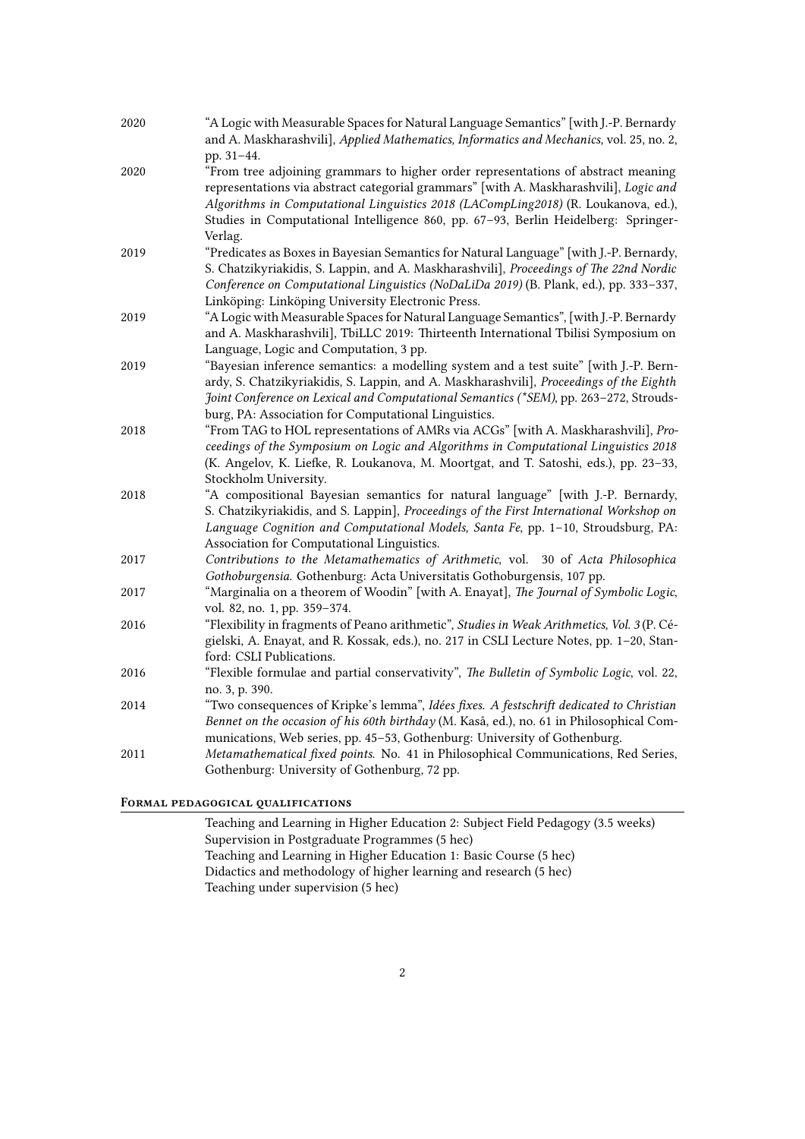| 2020 | "A Logic with Measurable Spaces for Natural Language Semantics" [with J.-P. Bernardy<br>and A. Maskharashvili], Applied Mathematics, Informatics and Mechanics, vol. 25, no. 2,                                                                                                                                                                                   |
|------|-------------------------------------------------------------------------------------------------------------------------------------------------------------------------------------------------------------------------------------------------------------------------------------------------------------------------------------------------------------------|
|      | pp. 31-44.                                                                                                                                                                                                                                                                                                                                                        |
| 2020 | "From tree adjoining grammars to higher order representations of abstract meaning<br>representations via abstract categorial grammars" [with A. Maskharashvili], Logic and<br>Algorithms in Computational Linguistics 2018 (LACompLing2018) (R. Loukanova, ed.),<br>Studies in Computational Intelligence 860, pp. 67-93, Berlin Heidelberg: Springer-<br>Verlag. |
| 2019 | "Predicates as Boxes in Bayesian Semantics for Natural Language" [with J.-P. Bernardy,                                                                                                                                                                                                                                                                            |
|      | S. Chatzikyriakidis, S. Lappin, and A. Maskharashvili], Proceedings of The 22nd Nordic<br>Conference on Computational Linguistics (NoDaLiDa 2019) (B. Plank, ed.), pp. 333-337,<br>Linköping: Linköping University Electronic Press.                                                                                                                              |
| 2019 | "A Logic with Measurable Spaces for Natural Language Semantics", [with J.-P. Bernardy<br>and A. Maskharashvili], TbiLLC 2019: Thirteenth International Tbilisi Symposium on<br>Language, Logic and Computation, 3 pp.                                                                                                                                             |
| 2019 | "Bayesian inference semantics: a modelling system and a test suite" [with J.-P. Bern-<br>ardy, S. Chatzikyriakidis, S. Lappin, and A. Maskharashvili], Proceedings of the Eighth<br>Joint Conference on Lexical and Computational Semantics (*SEM), pp. 263-272, Strouds-<br>burg, PA: Association for Computational Linguistics.                                 |
| 2018 | "From TAG to HOL representations of AMRs via ACGs" [with A. Maskharashvili], Pro-<br>ceedings of the Symposium on Logic and Algorithms in Computational Linguistics 2018<br>(K. Angelov, K. Liefke, R. Loukanova, M. Moortgat, and T. Satoshi, eds.), pp. 23-33,<br>Stockholm University.                                                                         |
| 2018 | "A compositional Bayesian semantics for natural language" [with J.-P. Bernardy,<br>S. Chatzikyriakidis, and S. Lappin], Proceedings of the First International Workshop on<br>Language Cognition and Computational Models, Santa Fe, pp. 1-10, Stroudsburg, PA:<br>Association for Computational Linguistics.                                                     |
| 2017 | Contributions to the Metamathematics of Arithmetic, vol. 30 of Acta Philosophica<br>Gothoburgensia. Gothenburg: Acta Universitatis Gothoburgensis, 107 pp.                                                                                                                                                                                                        |
| 2017 | "Marginalia on a theorem of Woodin" [with A. Enayat], The Journal of Symbolic Logic,<br>vol. 82, no. 1, pp. 359-374.                                                                                                                                                                                                                                              |
| 2016 | "Flexibility in fragments of Peano arithmetic", Studies in Weak Arithmetics, Vol. 3 (P. Cé-<br>gielski, A. Enayat, and R. Kossak, eds.), no. 217 in CSLI Lecture Notes, pp. 1-20, Stan-<br>ford: CSLI Publications.                                                                                                                                               |
| 2016 | "Flexible formulae and partial conservativity", The Bulletin of Symbolic Logic, vol. 22,<br>no. 3, p. 390.                                                                                                                                                                                                                                                        |
| 2014 | "Two consequences of Kripke's lemma", Idées fixes. A festschrift dedicated to Christian<br>Bennet on the occasion of his 60th birthday (M. Kaså, ed.), no. 61 in Philosophical Com-<br>munications, Web series, pp. 45-53, Gothenburg: University of Gothenburg.                                                                                                  |
| 2011 | Metamathematical fixed points. No. 41 in Philosophical Communications, Red Series,<br>Gothenburg: University of Gothenburg, 72 pp.                                                                                                                                                                                                                                |

# **FoRmal pedagogical qualifications**

Teaching and Learning in Higher Education 2: Subject Field Pedagogy (3.5 weeks) Supervision in Postgraduate Programmes (5 hec) Teaching and Learning in Higher Education 1: Basic Course (5 hec) Didactics and methodology of higher learning and research (5 hec) Teaching under supervision (5 hec)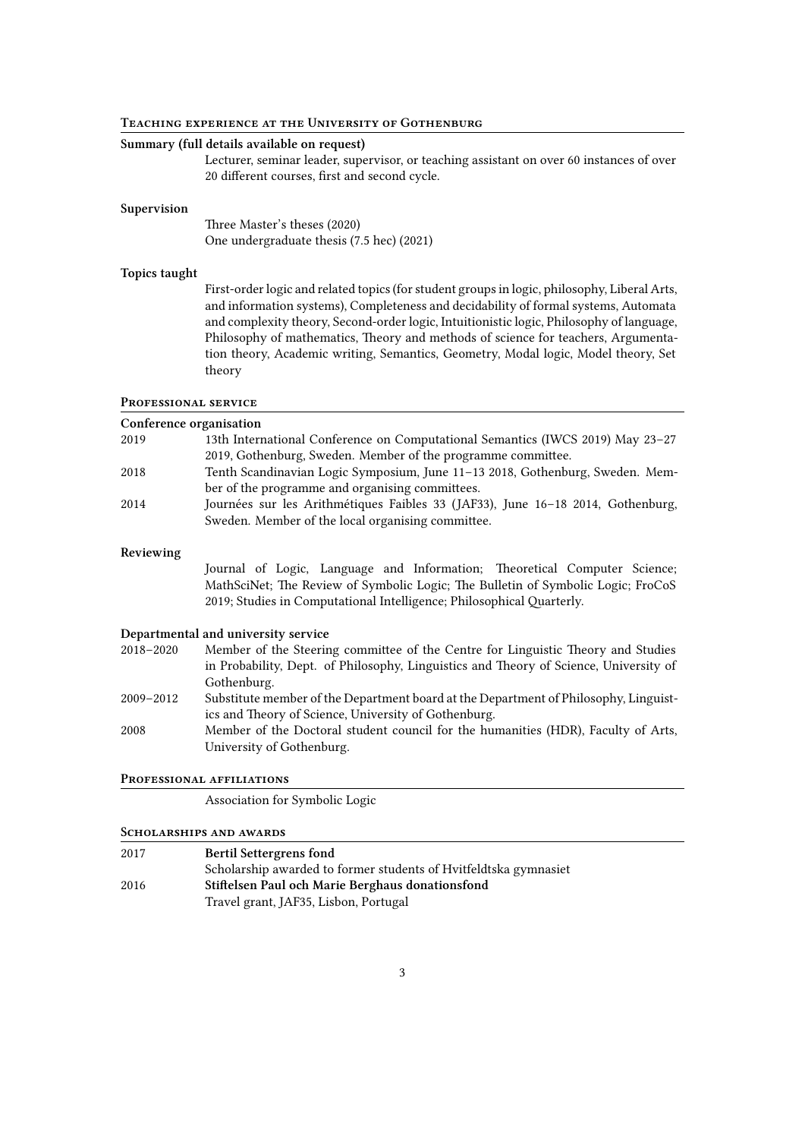#### **Teaching expeRience at the UniveRsity of GothenbuRg**

#### **Summary (full details available on request)**

Lecturer, seminar leader, supervisor, or teaching assistant on over 60 instances of over 20 different courses, first and second cycle.

#### **Supervision**

Three Master's theses (2020) One undergraduate thesis (7.5 hec) (2021)

#### **Topics taught**

First-order logic and related topics (for student groups in logic, philosophy, Liberal Arts, and information systems), Completeness and decidability of formal systems, Automata and complexity theory, Second-order logic, Intuitionistic logic, Philosophy of language, Philosophy of mathematics, Theory and methods of science for teachers, Argumentation theory, Academic writing, Semantics, Geometry, Modal logic, Model theory, Set theory

#### **PRofessional seRvice**

| Conference organisation |                                                                                 |
|-------------------------|---------------------------------------------------------------------------------|
| 2019                    | 13th International Conference on Computational Semantics (IWCS 2019) May 23-27  |
|                         | 2019, Gothenburg, Sweden. Member of the programme committee.                    |
| 2018                    | Tenth Scandinavian Logic Symposium, June 11-13 2018, Gothenburg, Sweden. Mem-   |
|                         | ber of the programme and organising committees.                                 |
| 2014                    | Journées sur les Arithmétiques Faibles 33 (JAF33), June 16-18 2014, Gothenburg, |
|                         | Sweden. Member of the local organising committee.                               |

#### **Reviewing**

Journal of Logic, Language and Information; Theoretical Computer Science; MathSciNet; The Review of Symbolic Logic; The Bulletin of Symbolic Logic; FroCoS 2019; Studies in Computational Intelligence; Philosophical Quarterly.

#### **Departmental and university service**

- 2018–2020 Member of the Steering committee of the Centre for Linguistic Theory and Studies in Probability, Dept. of Philosophy, Linguistics and Theory of Science, University of Gothenburg.
- 2009–2012 Substitute member of the Department board at the Department of Philosophy, Linguistics and Theory of Science, University of Gothenburg.
- 2008 Member of the Doctoral student council for the humanities (HDR), Faculty of Arts, University of Gothenburg.

#### **PRofessional affiliations**

Association for Symbolic Logic

#### **ScholaRships and awaRds**

| 2017 | <b>Bertil Settergrens fond</b>                                   |  |
|------|------------------------------------------------------------------|--|
|      | Scholarship awarded to former students of Hvitfeldtska gymnasiet |  |
| 2016 | Stiftelsen Paul och Marie Berghaus donationsfond                 |  |
|      | Travel grant, JAF35, Lisbon, Portugal                            |  |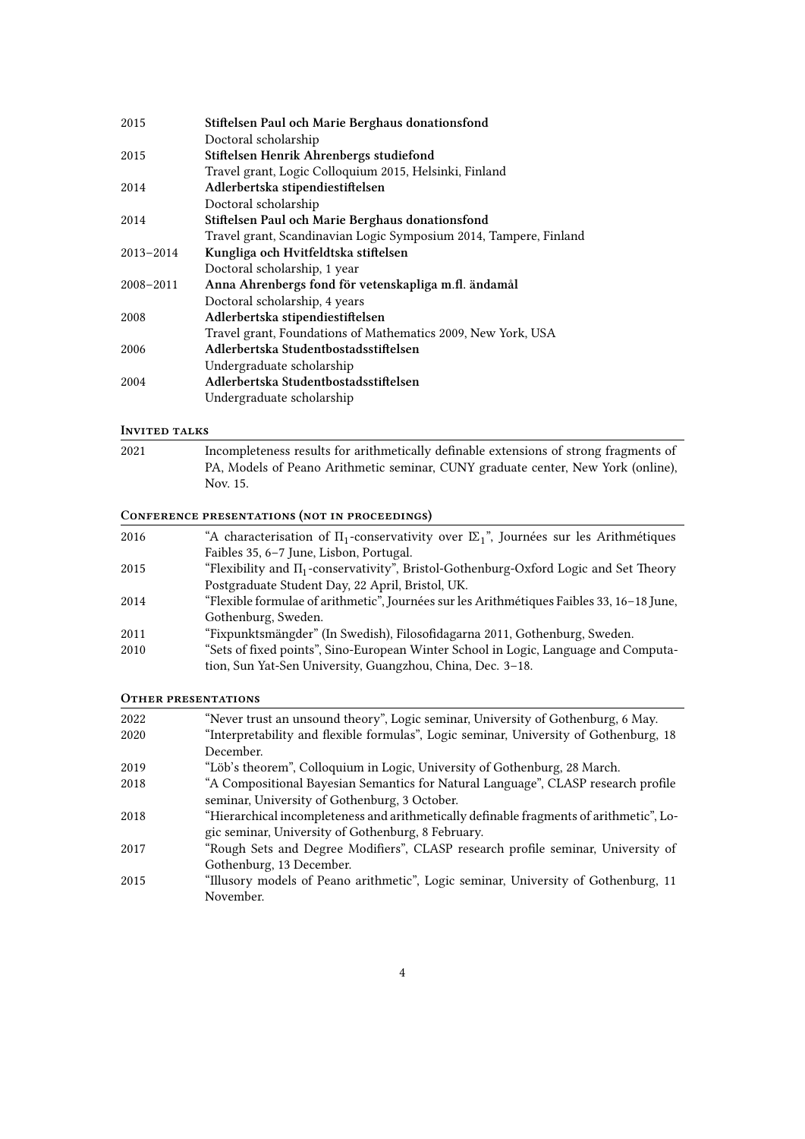| 2015          | Stiftelsen Paul och Marie Berghaus donationsfond                  |
|---------------|-------------------------------------------------------------------|
|               | Doctoral scholarship                                              |
| 2015          | Stiftelsen Henrik Ahrenbergs studiefond                           |
|               | Travel grant, Logic Colloquium 2015, Helsinki, Finland            |
| 2014          | Adlerbertska stipendiestiftelsen                                  |
|               | Doctoral scholarship                                              |
| 2014          | Stiftelsen Paul och Marie Berghaus donationsfond                  |
|               | Travel grant, Scandinavian Logic Symposium 2014, Tampere, Finland |
| $2013 - 2014$ | Kungliga och Hvitfeldtska stiftelsen                              |
|               | Doctoral scholarship, 1 year                                      |
| $2008 - 2011$ | Anna Ahrenbergs fond för vetenskapliga m.fl. ändamål              |
|               | Doctoral scholarship, 4 years                                     |
| 2008          | Adlerbertska stipendiestiftelsen                                  |
|               | Travel grant, Foundations of Mathematics 2009, New York, USA      |
| 2006          | Adlerbertska Studentbostadsstiftelsen                             |
|               | Undergraduate scholarship                                         |
| 2004          | Adlerbertska Studentbostadsstiftelsen                             |
|               | Undergraduate scholarship                                         |

# **Invited talKs**

| 2021 | Incompleteness results for arithmetically definable extensions of strong fragments of |
|------|---------------------------------------------------------------------------------------|
|      | PA, Models of Peano Arithmetic seminar, CUNY graduate center, New York (online),      |
|      | Nov. 15.                                                                              |

# **ConfeRence pResentations (not in pRoceedings)**

| CONFERENCE FRESENTATIONS (NOT IN FROCEEDINGS) |                                                                                                  |
|-----------------------------------------------|--------------------------------------------------------------------------------------------------|
| 2016                                          | "A characterisation of $\Pi_1$ -conservativity over $\Sigma_1$ ", Journées sur les Arithmétiques |
|                                               | Faibles 35, 6-7 June, Lisbon, Portugal.                                                          |
| 2015                                          | "Flexibility and $\Pi_1$ -conservativity", Bristol-Gothenburg-Oxford Logic and Set Theory        |
|                                               | Postgraduate Student Day, 22 April, Bristol, UK.                                                 |
| 2014                                          | "Flexible formulae of arithmetic", Journées sur les Arithmétiques Faibles 33, 16-18 June,        |
|                                               | Gothenburg, Sweden.                                                                              |
| 2011                                          | "Fixpunktsmängder" (In Swedish), Filosofidagarna 2011, Gothenburg, Sweden.                       |
| 2010                                          | "Sets of fixed points", Sino-European Winter School in Logic, Language and Computa-              |
|                                               | tion, Sun Yat-Sen University, Guangzhou, China, Dec. 3–18.                                       |
|                                               |                                                                                                  |

# **OtheR pResentations**

| 2022 | "Never trust an unsound theory", Logic seminar, University of Gothenburg, 6 May.        |
|------|-----------------------------------------------------------------------------------------|
| 2020 | "Interpretability and flexible formulas", Logic seminar, University of Gothenburg, 18   |
|      | December.                                                                               |
| 2019 | "Löb's theorem", Colloquium in Logic, University of Gothenburg, 28 March.               |
| 2018 | "A Compositional Bayesian Semantics for Natural Language", CLASP research profile       |
|      | seminar, University of Gothenburg, 3 October.                                           |
| 2018 | "Hierarchical incompleteness and arithmetically definable fragments of arithmetic", Lo- |
|      | gic seminar, University of Gothenburg, 8 February.                                      |
| 2017 | "Rough Sets and Degree Modifiers", CLASP research profile seminar, University of        |
|      | Gothenburg, 13 December.                                                                |
| 2015 | "Illusory models of Peano arithmetic", Logic seminar, University of Gothenburg, 11      |
|      | November.                                                                               |